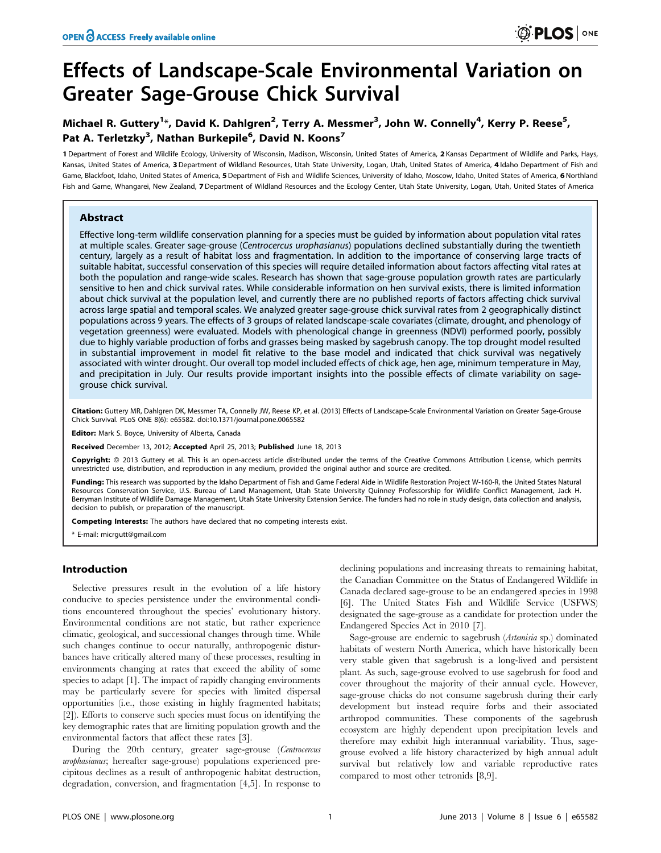# Michael R. Guttery<sup>1\*</sup>, David K. Dahlgren<sup>2</sup>, Terry A. Messmer<sup>3</sup>, John W. Connelly<sup>4</sup>, Kerry P. Reese<sup>5</sup>, Pat A. Terletzky<sup>3</sup>, Nathan Burkepile<sup>6</sup>, David N. Koons<sup>7</sup>

1 Department of Forest and Wildlife Ecology, University of Wisconsin, Madison, Wisconsin, United States of America, 2 Kansas Department of Wildlife and Parks, Hays, Kansas, United States of America, 3 Department of Wildland Resources, Utah State University, Logan, Utah, United States of America, 4 Idaho Department of Fish and Game, Blackfoot, Idaho, United States of America, 5 Department of Fish and Wildlife Sciences, University of Idaho, Moscow, Idaho, United States of America, 6 Northland Fish and Game, Whangarei, New Zealand, 7 Department of Wildland Resources and the Ecology Center, Utah State University, Logan, Utah, United States of America

# Abstract

Effective long-term wildlife conservation planning for a species must be guided by information about population vital rates at multiple scales. Greater sage-grouse (Centrocercus urophasianus) populations declined substantially during the twentieth century, largely as a result of habitat loss and fragmentation. In addition to the importance of conserving large tracts of suitable habitat, successful conservation of this species will require detailed information about factors affecting vital rates at both the population and range-wide scales. Research has shown that sage-grouse population growth rates are particularly sensitive to hen and chick survival rates. While considerable information on hen survival exists, there is limited information about chick survival at the population level, and currently there are no published reports of factors affecting chick survival across large spatial and temporal scales. We analyzed greater sage-grouse chick survival rates from 2 geographically distinct populations across 9 years. The effects of 3 groups of related landscape-scale covariates (climate, drought, and phenology of vegetation greenness) were evaluated. Models with phenological change in greenness (NDVI) performed poorly, possibly due to highly variable production of forbs and grasses being masked by sagebrush canopy. The top drought model resulted in substantial improvement in model fit relative to the base model and indicated that chick survival was negatively associated with winter drought. Our overall top model included effects of chick age, hen age, minimum temperature in May, and precipitation in July. Our results provide important insights into the possible effects of climate variability on sagegrouse chick survival.

Citation: Guttery MR, Dahlgren DK, Messmer TA, Connelly JW, Reese KP, et al. (2013) Effects of Landscape-Scale Environmental Variation on Greater Sage-Grouse Chick Survival. PLoS ONE 8(6): e65582. doi:10.1371/journal.pone.0065582

Editor: Mark S. Boyce, University of Alberta, Canada

Received December 13, 2012; Accepted April 25, 2013; Published June 18, 2013

Copyright: © 2013 Guttery et al. This is an open-access article distributed under the terms of the Creative Commons Attribution License, which permits unrestricted use, distribution, and reproduction in any medium, provided the original author and source are credited.

Funding: This research was supported by the Idaho Department of Fish and Game Federal Aide in Wildlife Restoration Project W-160-R, the United States Natural Resources Conservation Service, U.S. Bureau of Land Management, Utah State University Quinney Professorship for Wildlife Conflict Management, Jack H. Berryman Institute of Wildlife Damage Management, Utah State University Extension Service. The funders had no role in study design, data collection and analysis, decision to publish, or preparation of the manuscript.

Competing Interests: The authors have declared that no competing interests exist.

\* E-mail: micrgutt@gmail.com

# Introduction

Selective pressures result in the evolution of a life history conducive to species persistence under the environmental conditions encountered throughout the species' evolutionary history. Environmental conditions are not static, but rather experience climatic, geological, and successional changes through time. While such changes continue to occur naturally, anthropogenic disturbances have critically altered many of these processes, resulting in environments changing at rates that exceed the ability of some species to adapt [1]. The impact of rapidly changing environments may be particularly severe for species with limited dispersal opportunities (i.e., those existing in highly fragmented habitats; [2]). Efforts to conserve such species must focus on identifying the key demographic rates that are limiting population growth and the environmental factors that affect these rates [3].

During the 20th century, greater sage-grouse (Centrocercus urophasianus; hereafter sage-grouse) populations experienced precipitous declines as a result of anthropogenic habitat destruction, degradation, conversion, and fragmentation [4,5]. In response to

declining populations and increasing threats to remaining habitat, the Canadian Committee on the Status of Endangered Wildlife in Canada declared sage-grouse to be an endangered species in 1998 [6]. The United States Fish and Wildlife Service (USFWS) designated the sage-grouse as a candidate for protection under the Endangered Species Act in 2010 [7].

Sage-grouse are endemic to sagebrush (Artemisia sp.) dominated habitats of western North America, which have historically been very stable given that sagebrush is a long-lived and persistent plant. As such, sage-grouse evolved to use sagebrush for food and cover throughout the majority of their annual cycle. However, sage-grouse chicks do not consume sagebrush during their early development but instead require forbs and their associated arthropod communities. These components of the sagebrush ecosystem are highly dependent upon precipitation levels and therefore may exhibit high interannual variability. Thus, sagegrouse evolved a life history characterized by high annual adult survival but relatively low and variable reproductive rates compared to most other tetronids [8,9].

**DEOS** ONE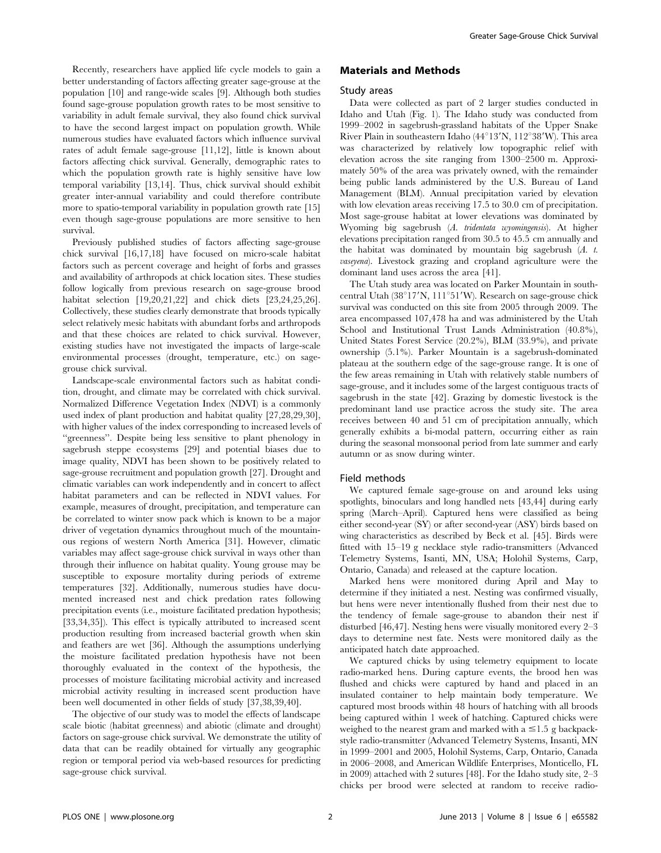Recently, researchers have applied life cycle models to gain a better understanding of factors affecting greater sage-grouse at the population [10] and range-wide scales [9]. Although both studies found sage-grouse population growth rates to be most sensitive to variability in adult female survival, they also found chick survival to have the second largest impact on population growth. While numerous studies have evaluated factors which influence survival rates of adult female sage-grouse [11,12], little is known about factors affecting chick survival. Generally, demographic rates to which the population growth rate is highly sensitive have low temporal variability [13,14]. Thus, chick survival should exhibit greater inter-annual variability and could therefore contribute more to spatio-temporal variability in population growth rate [15] even though sage-grouse populations are more sensitive to hen survival.

Previously published studies of factors affecting sage-grouse chick survival [16,17,18] have focused on micro-scale habitat factors such as percent coverage and height of forbs and grasses and availability of arthropods at chick location sites. These studies follow logically from previous research on sage-grouse brood habitat selection [19,20,21,22] and chick diets [23,24,25,26]. Collectively, these studies clearly demonstrate that broods typically select relatively mesic habitats with abundant forbs and arthropods and that these choices are related to chick survival. However, existing studies have not investigated the impacts of large-scale environmental processes (drought, temperature, etc.) on sagegrouse chick survival.

Landscape-scale environmental factors such as habitat condition, drought, and climate may be correlated with chick survival. Normalized Difference Vegetation Index (NDVI) is a commonly used index of plant production and habitat quality [27,28,29,30], with higher values of the index corresponding to increased levels of ''greenness''. Despite being less sensitive to plant phenology in sagebrush steppe ecosystems [29] and potential biases due to image quality, NDVI has been shown to be positively related to sage-grouse recruitment and population growth [27]. Drought and climatic variables can work independently and in concert to affect habitat parameters and can be reflected in NDVI values. For example, measures of drought, precipitation, and temperature can be correlated to winter snow pack which is known to be a major driver of vegetation dynamics throughout much of the mountainous regions of western North America [31]. However, climatic variables may affect sage-grouse chick survival in ways other than through their influence on habitat quality. Young grouse may be susceptible to exposure mortality during periods of extreme temperatures [32]. Additionally, numerous studies have documented increased nest and chick predation rates following precipitation events (i.e., moisture facilitated predation hypothesis; [33,34,35]). This effect is typically attributed to increased scent production resulting from increased bacterial growth when skin and feathers are wet [36]. Although the assumptions underlying the moisture facilitated predation hypothesis have not been thoroughly evaluated in the context of the hypothesis, the processes of moisture facilitating microbial activity and increased microbial activity resulting in increased scent production have been well documented in other fields of study [37,38,39,40].

The objective of our study was to model the effects of landscape scale biotic (habitat greenness) and abiotic (climate and drought) factors on sage-grouse chick survival. We demonstrate the utility of data that can be readily obtained for virtually any geographic region or temporal period via web-based resources for predicting sage-grouse chick survival.

## Materials and Methods

### Study areas

Data were collected as part of 2 larger studies conducted in Idaho and Utah (Fig. 1). The Idaho study was conducted from 1999–2002 in sagebrush-grassland habitats of the Upper Snake River Plain in southeastern Idaho  $(44^{\circ}13'N, 112^{\circ}38'W)$ . This area was characterized by relatively low topographic relief with elevation across the site ranging from 1300–2500 m. Approximately 50% of the area was privately owned, with the remainder being public lands administered by the U.S. Bureau of Land Management (BLM). Annual precipitation varied by elevation with low elevation areas receiving 17.5 to 30.0 cm of precipitation. Most sage-grouse habitat at lower elevations was dominated by Wyoming big sagebrush (A. tridentata wyomingensis). At higher elevations precipitation ranged from 30.5 to 45.5 cm annually and the habitat was dominated by mountain big sagebrush (A. t. vaseyena). Livestock grazing and cropland agriculture were the dominant land uses across the area [41].

The Utah study area was located on Parker Mountain in southcentral Utah (38 $\degree$ 17'N, 111 $\degree$ 51'W). Research on sage-grouse chick survival was conducted on this site from 2005 through 2009. The area encompassed 107,478 ha and was administered by the Utah School and Institutional Trust Lands Administration (40.8%), United States Forest Service (20.2%), BLM (33.9%), and private ownership (5.1%). Parker Mountain is a sagebrush-dominated plateau at the southern edge of the sage-grouse range. It is one of the few areas remaining in Utah with relatively stable numbers of sage-grouse, and it includes some of the largest contiguous tracts of sagebrush in the state [42]. Grazing by domestic livestock is the predominant land use practice across the study site. The area receives between 40 and 51 cm of precipitation annually, which generally exhibits a bi-modal pattern, occurring either as rain during the seasonal monsoonal period from late summer and early autumn or as snow during winter.

### Field methods

We captured female sage-grouse on and around leks using spotlights, binoculars and long handled nets [43,44] during early spring (March–April). Captured hens were classified as being either second-year (SY) or after second-year (ASY) birds based on wing characteristics as described by Beck et al. [45]. Birds were fitted with 15–19 g necklace style radio-transmitters (Advanced Telemetry Systems, Isanti, MN, USA; Holohil Systems, Carp, Ontario, Canada) and released at the capture location.

Marked hens were monitored during April and May to determine if they initiated a nest. Nesting was confirmed visually, but hens were never intentionally flushed from their nest due to the tendency of female sage-grouse to abandon their nest if disturbed [46,47]. Nesting hens were visually monitored every 2–3 days to determine nest fate. Nests were monitored daily as the anticipated hatch date approached.

We captured chicks by using telemetry equipment to locate radio-marked hens. During capture events, the brood hen was flushed and chicks were captured by hand and placed in an insulated container to help maintain body temperature. We captured most broods within 48 hours of hatching with all broods being captured within 1 week of hatching. Captured chicks were weighed to the nearest gram and marked with  $a \le 1.5$  g backpackstyle radio-transmitter (Advanced Telemetry Systems, Insanti, MN in 1999–2001 and 2005, Holohil Systems, Carp, Ontario, Canada in 2006–2008, and American Wildlife Enterprises, Monticello, FL in 2009) attached with 2 sutures [48]. For the Idaho study site, 2–3 chicks per brood were selected at random to receive radio-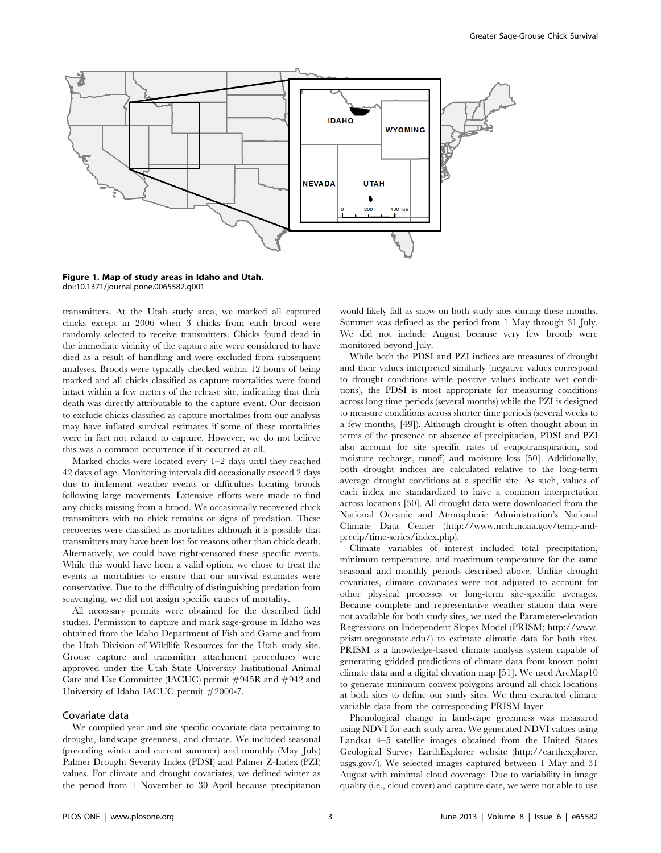

Figure 1. Map of study areas in Idaho and Utah. doi:10.1371/journal.pone.0065582.g001

transmitters. At the Utah study area, we marked all captured chicks except in 2006 when 3 chicks from each brood were randomly selected to receive transmitters. Chicks found dead in the immediate vicinity of the capture site were considered to have died as a result of handling and were excluded from subsequent analyses. Broods were typically checked within 12 hours of being marked and all chicks classified as capture mortalities were found intact within a few meters of the release site, indicating that their death was directly attributable to the capture event. Our decision to exclude chicks classified as capture mortalities from our analysis may have inflated survival estimates if some of these mortalities were in fact not related to capture. However, we do not believe this was a common occurrence if it occurred at all.

Marked chicks were located every 1–2 days until they reached 42 days of age. Monitoring intervals did occasionally exceed 2 days due to inclement weather events or difficulties locating broods following large movements. Extensive efforts were made to find any chicks missing from a brood. We occasionally recovered chick transmitters with no chick remains or signs of predation. These recoveries were classified as mortalities although it is possible that transmitters may have been lost for reasons other than chick death. Alternatively, we could have right-censored these specific events. While this would have been a valid option, we chose to treat the events as mortalities to ensure that our survival estimates were conservative. Due to the difficulty of distinguishing predation from scavenging, we did not assign specific causes of mortality.

All necessary permits were obtained for the described field studies. Permission to capture and mark sage-grouse in Idaho was obtained from the Idaho Department of Fish and Game and from the Utah Division of Wildlife Resources for the Utah study site. Grouse capture and transmitter attachment procedures were approved under the Utah State University Institutional Animal Care and Use Committee (IACUC) permit #945R and #942 and University of Idaho IACUC permit #2000-7.

### Covariate data

We compiled year and site specific covariate data pertaining to drought, landscape greenness, and climate. We included seasonal (preceding winter and current summer) and monthly (May–July) Palmer Drought Severity Index (PDSI) and Palmer Z-Index (PZI) values. For climate and drought covariates, we defined winter as the period from 1 November to 30 April because precipitation

would likely fall as snow on both study sites during these months. Summer was defined as the period from 1 May through 31 July. We did not include August because very few broods were monitored beyond July.

While both the PDSI and PZI indices are measures of drought and their values interpreted similarly (negative values correspond to drought conditions while positive values indicate wet conditions), the PDSI is most appropriate for measuring conditions across long time periods (several months) while the PZI is designed to measure conditions across shorter time periods (several weeks to a few months, [49]). Although drought is often thought about in terms of the presence or absence of precipitation, PDSI and PZI also account for site specific rates of evapotranspiration, soil moisture recharge, runoff, and moisture loss [50]. Additionally, both drought indices are calculated relative to the long-term average drought conditions at a specific site. As such, values of each index are standardized to have a common interpretation across locations [50]. All drought data were downloaded from the National Oceanic and Atmospheric Administration's National Climate Data Center (http://www.ncdc.noaa.gov/temp-andprecip/time-series/index.php).

Climate variables of interest included total precipitation, minimum temperature, and maximum temperature for the same seasonal and monthly periods described above. Unlike drought covariates, climate covariates were not adjusted to account for other physical processes or long-term site-specific averages. Because complete and representative weather station data were not available for both study sites, we used the Parameter-elevation Regressions on Independent Slopes Model (PRISM; http://www. prism.oregonstate.edu/) to estimate climatic data for both sites. PRISM is a knowledge-based climate analysis system capable of generating gridded predictions of climate data from known point climate data and a digital elevation map [51]. We used ArcMap10 to generate minimum convex polygons around all chick locations at both sites to define our study sites. We then extracted climate variable data from the corresponding PRISM layer.

Phenological change in landscape greenness was measured using NDVI for each study area. We generated NDVI values using Landsat 4–5 satellite images obtained from the United States Geological Survey EarthExplorer website (http://earthexplorer. usgs.gov/). We selected images captured between 1 May and 31 August with minimal cloud coverage. Due to variability in image quality (i.e., cloud cover) and capture date, we were not able to use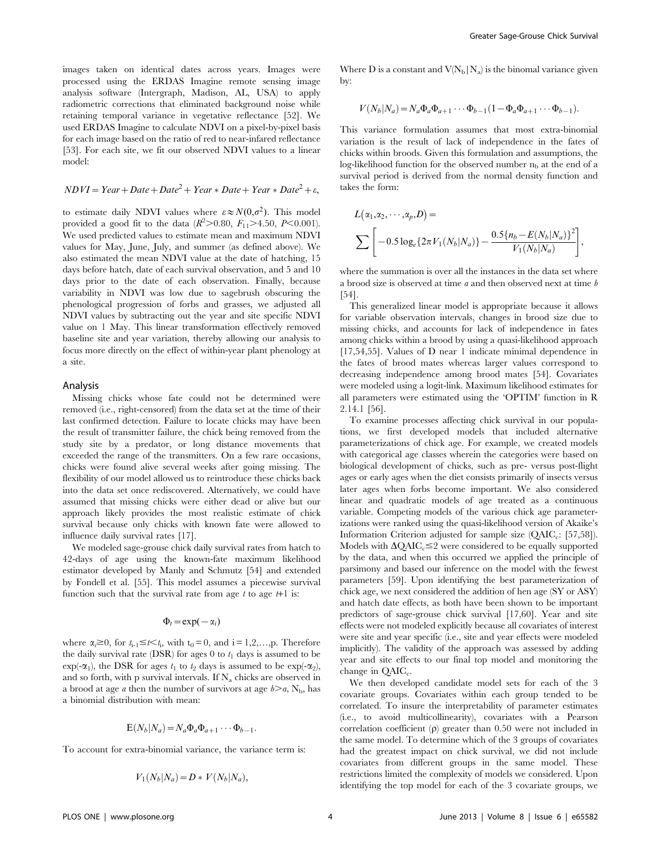images taken on identical dates across years. Images were processed using the ERDAS Imagine remote sensing image analysis software (Intergraph, Madison, AL, USA) to apply radiometric corrections that eliminated background noise while retaining temporal variance in vegetative reflectance [52]. We used ERDAS Imagine to calculate NDVI on a pixel-by-pixel basis for each image based on the ratio of red to near-infared reflectance [53]. For each site, we fit our observed NDVI values to a linear model:

# $NDVI = Year + Date + Date^2 + Year * Date + Year * Date^2 + \varepsilon,$

to estimate daily NDVI values where  $\varepsilon \approx N(0,\sigma^2)$ . This model provided a good fit to the data  $(R^2>0.80, F_{11}>4.50, P<0.001)$ . We used predicted values to estimate mean and maximum NDVI values for May, June, July, and summer (as defined above). We also estimated the mean NDVI value at the date of hatching, 15 days before hatch, date of each survival observation, and 5 and 10 days prior to the date of each observation. Finally, because variability in NDVI was low due to sagebrush obscuring the phenological progression of forbs and grasses, we adjusted all NDVI values by subtracting out the year and site specific NDVI value on 1 May. This linear transformation effectively removed baseline site and year variation, thereby allowing our analysis to focus more directly on the effect of within-year plant phenology at a site.

# Analysis

Missing chicks whose fate could not be determined were removed (i.e., right-censored) from the data set at the time of their last confirmed detection. Failure to locate chicks may have been the result of transmitter failure, the chick being removed from the study site by a predator, or long distance movements that exceeded the range of the transmitters. On a few rare occasions, chicks were found alive several weeks after going missing. The flexibility of our model allowed us to reintroduce these chicks back into the data set once rediscovered. Alternatively, we could have assumed that missing chicks were either dead or alive but our approach likely provides the most realistic estimate of chick survival because only chicks with known fate were allowed to influence daily survival rates [17].

We modeled sage-grouse chick daily survival rates from hatch to 42-days of age using the known-fate maximum likelihood estimator developed by Manly and Schmutz [54] and extended by Fondell et al. [55]. This model assumes a piecewise survival function such that the survival rate from age  $t$  to age  $t+1$  is:

# $\Phi_t = \exp(-\alpha_i)$

where  $\alpha_i \geq 0$ , for  $t_{i-1} \leq t \leq t_i$ , with  $t_0 = 0$ , and  $i = 1, 2, \ldots, p$ . Therefore the daily survival rate (DSR) for ages 0 to  $t_1$  days is assumed to be  $\exp(-\alpha_1)$ , the DSR for ages  $t_1$  to  $t_2$  days is assumed to be  $\exp(-\alpha_2)$ , and so forth, with p survival intervals. If  $N_a$  chicks are observed in a brood at age a then the number of survivors at age  $b>a$ , N<sub>b</sub>, has a binomial distribution with mean:

$$
E(N_b|N_a) = N_a \Phi_a \Phi_{a+1} \cdots \Phi_{b-1}.
$$

To account for extra-binomial variance, the variance term is:

$$
V_1(N_b|N_a) = D * V(N_b|N_a),
$$

Where D is a constant and  $V(N_b|N_a)$  is the binomal variance given by:

$$
V(N_b|N_a) = N_a \Phi_a \Phi_{a+1} \cdots \Phi_{b-1} (1 - \Phi_a \Phi_{a+1} \cdots \Phi_{b-1}).
$$

This variance formulation assumes that most extra-binomial variation is the result of lack of independence in the fates of chicks within broods. Given this formulation and assumptions, the log-likelihood function for the observed number  $n_b$  at the end of a survival period is derived from the normal density function and takes the form:

$$
L(\alpha_1, \alpha_2, \cdots, \alpha_p, D) =
$$
  

$$
\sum \left[ -0.5 \log_e \{ 2\pi V_1(N_b|N_a) \} - \frac{0.5\{ n_b - E(N_b|N_a) \}^2}{V_1(N_b|N_a)} \right],
$$

where the summation is over all the instances in the data set where a brood size is observed at time  $a$  and then observed next at time  $b$ [54].

This generalized linear model is appropriate because it allows for variable observation intervals, changes in brood size due to missing chicks, and accounts for lack of independence in fates among chicks within a brood by using a quasi-likelihood approach [17,54,55]. Values of D near 1 indicate minimal dependence in the fates of brood mates whereas larger values correspond to decreasing independence among brood mates [54]. Covariates were modeled using a logit-link. Maximum likelihood estimates for all parameters were estimated using the 'OPTIM' function in R 2.14.1 [56].

To examine processes affecting chick survival in our populations, we first developed models that included alternative parameterizations of chick age. For example, we created models with categorical age classes wherein the categories were based on biological development of chicks, such as pre- versus post-flight ages or early ages when the diet consists primarily of insects versus later ages when forbs become important. We also considered linear and quadratic models of age treated as a continuous variable. Competing models of the various chick age parameterizations were ranked using the quasi-likelihood version of Akaike's Information Criterion adjusted for sample size  $(QAIC_c: [57,58])$ . Models with  $\Delta QAIC_c \leq 2$  were considered to be equally supported by the data, and when this occurred we applied the principle of parsimony and based our inference on the model with the fewest parameters [59]. Upon identifying the best parameterization of chick age, we next considered the addition of hen age (SY or ASY) and hatch date effects, as both have been shown to be important predictors of sage-grouse chick survival [17,60]. Year and site effects were not modeled explicitly because all covariates of interest were site and year specific (i.e., site and year effects were modeled implicitly). The validity of the approach was assessed by adding year and site effects to our final top model and monitoring the change in  $QAIC<sub>c</sub>$ .

We then developed candidate model sets for each of the 3 covariate groups. Covariates within each group tended to be correlated. To insure the interpretability of parameter estimates (i.e., to avoid multicollinearity), covariates with a Pearson correlation coefficient  $(\rho)$  greater than 0.50 were not included in the same model. To determine which of the 3 groups of covariates had the greatest impact on chick survival, we did not include covariates from different groups in the same model. These restrictions limited the complexity of models we considered. Upon identifying the top model for each of the 3 covariate groups, we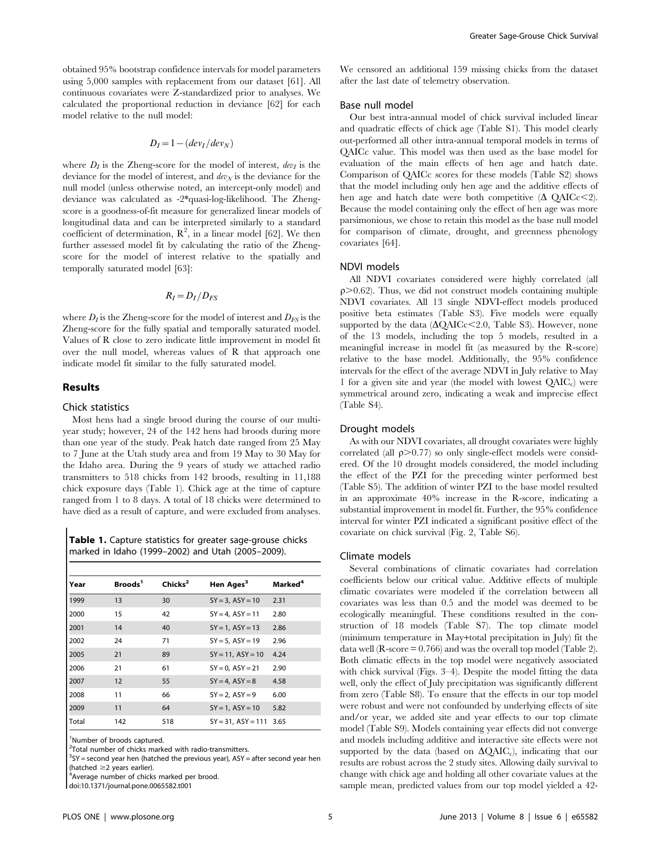obtained 95% bootstrap confidence intervals for model parameters using 5,000 samples with replacement from our dataset [61]. All continuous covariates were Z-standardized prior to analyses. We calculated the proportional reduction in deviance [62] for each model relative to the null model:

$$
D_I = 1 - (dev_I/dev_N)
$$

where  $D_I$  is the Zheng-score for the model of interest,  $dev_I$  is the deviance for the model of interest, and  $dev_N$  is the deviance for the null model (unless otherwise noted, an intercept-only model) and deviance was calculated as -2\*quasi-log-likelihood. The Zhengscore is a goodness-of-fit measure for generalized linear models of longitudinal data and can be interpreted similarly to a standard coefficient of determination,  $\mathbb{R}^2$ , in a linear model [62]. We then further assessed model fit by calculating the ratio of the Zhengscore for the model of interest relative to the spatially and temporally saturated model [63]:

$$
R_I = D_I/D_{FS}
$$

where  $D_I$  is the Zheng-score for the model of interest and  $D_{FS}$  is the Zheng-score for the fully spatial and temporally saturated model. Values of R close to zero indicate little improvement in model fit over the null model, whereas values of R that approach one indicate model fit similar to the fully saturated model.

# Results

# Chick statistics

Most hens had a single brood during the course of our multiyear study; however, 24 of the 142 hens had broods during more than one year of the study. Peak hatch date ranged from 25 May to 7 June at the Utah study area and from 19 May to 30 May for the Idaho area. During the 9 years of study we attached radio transmitters to 518 chicks from 142 broods, resulting in 11,188 chick exposure days (Table 1). Chick age at the time of capture ranged from 1 to 8 days. A total of 18 chicks were determined to have died as a result of capture, and were excluded from analyses.

Table 1. Capture statistics for greater sage-grouse chicks marked in Idaho (1999–2002) and Utah (2005–2009).

| Year  | Broods <sup>1</sup> | Chicks <sup>2</sup> | Hen Ages <sup>3</sup> | Marked <sup>4</sup> |
|-------|---------------------|---------------------|-----------------------|---------------------|
| 1999  | 13                  | 30                  | $SY = 3$ , $ASY = 10$ | 2.31                |
| 2000  | 15                  | 42                  | $SY = 4$ , $ASY = 11$ | 2.80                |
| 2001  | 14                  | 40                  | $SY = 1$ , $ASY = 13$ | 2.86                |
| 2002  | 24                  | 71                  | $SY = 5.$ ASY = 19    | 2.96                |
| 2005  | 21                  | 89                  | $SY = 11, ASY = 10$   | 4.24                |
| 2006  | 21                  | 61                  | $SY = 0$ , $ASY = 21$ | 2.90                |
| 2007  | 12                  | 55                  | $SY = 4$ , $ASY = 8$  | 4.58                |
| 2008  | 11                  | 66                  | $SY = 2$ , $ASY = 9$  | 6.00                |
| 2009  | 11                  | 64                  | $SY = 1$ , $ASY = 10$ | 5.82                |
| Total | 142                 | 518                 | $SY = 31, ASY = 111$  | 3.65                |

1 Number of broods captured.

<sup>2</sup>Total number of chicks marked with radio-transmitters.

 $3$ SY = second year hen (hatched the previous year), ASY = after second year hen

(hatched  $\geq$ 2 years earlier).

<sup>4</sup> Average number of chicks marked per brood.

doi:10.1371/journal.pone.0065582.t001

We censored an additional 159 missing chicks from the dataset after the last date of telemetry observation.

#### Base null model

Our best intra-annual model of chick survival included linear and quadratic effects of chick age (Table S1). This model clearly out-performed all other intra-annual temporal models in terms of QAICc value. This model was then used as the base model for evaluation of the main effects of hen age and hatch date. Comparison of QAICc scores for these models (Table S2) shows that the model including only hen age and the additive effects of hen age and hatch date were both competitive  $(\Delta \text{ QAICc} \leq 2)$ . Because the model containing only the effect of hen age was more parsimonious, we chose to retain this model as the base null model for comparison of climate, drought, and greenness phenology covariates [64].

## NDVI models

All NDVI covariates considered were highly correlated (all  $p>0.62$ ). Thus, we did not construct models containing multiple NDVI covariates. All 13 single NDVI-effect models produced positive beta estimates (Table S3). Five models were equally supported by the data  $(\Delta QAICc \le 2.0,$  Table S3). However, none of the 13 models, including the top 5 models, resulted in a meaningful increase in model fit (as measured by the R-score) relative to the base model. Additionally, the 95% confidence intervals for the effect of the average NDVI in July relative to May 1 for a given site and year (the model with lowest  $QAIC<sub>c</sub>$ ) were symmetrical around zero, indicating a weak and imprecise effect (Table S4).

# Drought models

As with our NDVI covariates, all drought covariates were highly correlated (all  $\rho$ >0.77) so only single-effect models were considered. Of the 10 drought models considered, the model including the effect of the PZI for the preceding winter performed best (Table S5). The addition of winter PZI to the base model resulted in an approximate 40% increase in the R-score, indicating a substantial improvement in model fit. Further, the 95% confidence interval for winter PZI indicated a significant positive effect of the covariate on chick survival (Fig. 2, Table S6).

# Climate models

Several combinations of climatic covariates had correlation coefficients below our critical value. Additive effects of multiple climatic covariates were modeled if the correlation between all covariates was less than 0.5 and the model was deemed to be ecologically meaningful. These conditions resulted in the construction of 18 models (Table S7). The top climate model (minimum temperature in May+total precipitation in July) fit the data well ( $R\text{-score} = 0.766$ ) and was the overall top model (Table 2). Both climatic effects in the top model were negatively associated with chick survival (Figs. 3–4). Despite the model fitting the data well, only the effect of July precipitation was significantly different from zero (Table S8). To ensure that the effects in our top model were robust and were not confounded by underlying effects of site and/or year, we added site and year effects to our top climate model (Table S9). Models containing year effects did not converge and models including additive and interactive site effects were not supported by the data (based on  $\Delta QAIC<sub>c</sub>$ ), indicating that our results are robust across the 2 study sites. Allowing daily survival to change with chick age and holding all other covariate values at the sample mean, predicted values from our top model yielded a 42-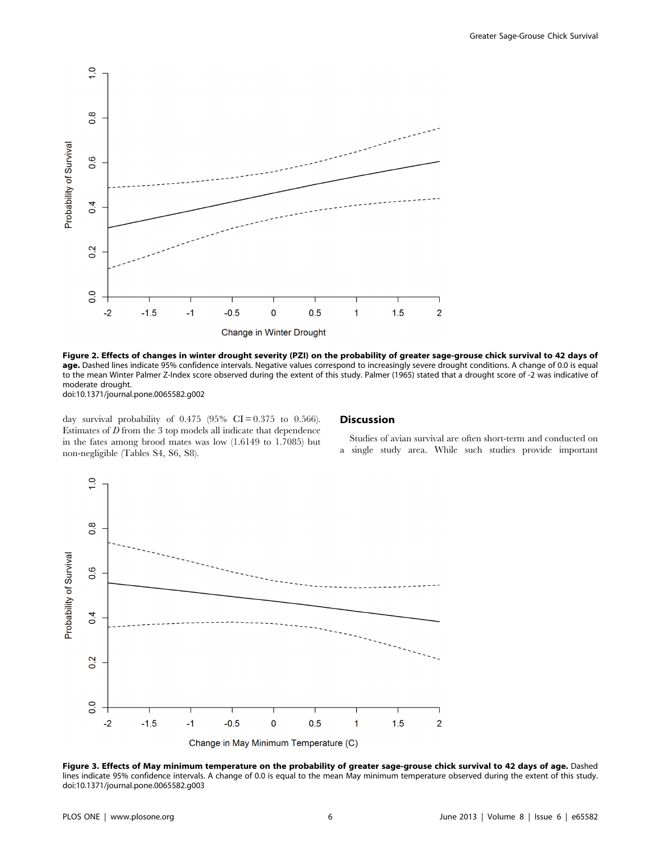

Figure 2. Effects of changes in winter drought severity (PZI) on the probability of greater sage-grouse chick survival to 42 days of age. Dashed lines indicate 95% confidence intervals. Negative values correspond to increasingly severe drought conditions. A change of 0.0 is equal to the mean Winter Palmer Z-Index score observed during the extent of this study. Palmer (1965) stated that a drought score of -2 was indicative of moderate drought. doi:10.1371/journal.pone.0065582.g002

day survival probability of  $0.475$  (95% CI = 0.375 to 0.566). Estimates of D from the 3 top models all indicate that dependence in the fates among brood mates was low (1.6149 to 1.7085) but non-negligible (Tables S4, S6, S8).

### Discussion

Studies of avian survival are often short-term and conducted on a single study area. While such studies provide important



Figure 3. Effects of May minimum temperature on the probability of greater sage-grouse chick survival to 42 days of age. Dashed lines indicate 95% confidence intervals. A change of 0.0 is equal to the mean May minimum temperature observed during the extent of this study. doi:10.1371/journal.pone.0065582.g003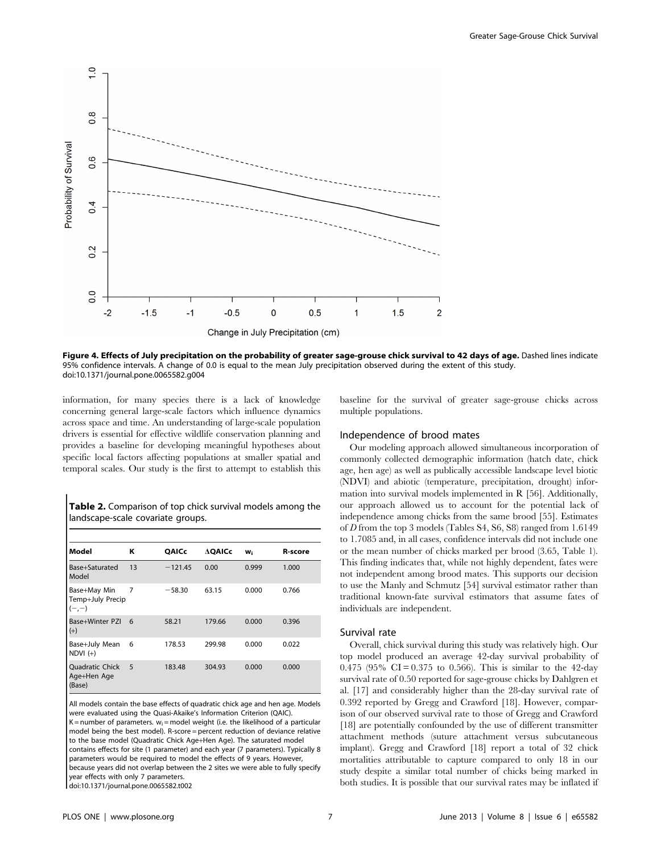

Figure 4. Effects of July precipitation on the probability of greater sage-grouse chick survival to 42 days of age. Dashed lines indicate 95% confidence intervals. A change of 0.0 is equal to the mean July precipitation observed during the extent of this study. doi:10.1371/journal.pone.0065582.g004

information, for many species there is a lack of knowledge concerning general large-scale factors which influence dynamics across space and time. An understanding of large-scale population drivers is essential for effective wildlife conservation planning and provides a baseline for developing meaningful hypotheses about specific local factors affecting populations at smaller spatial and temporal scales. Our study is the first to attempt to establish this

Table 2. Comparison of top chick survival models among the landscape-scale covariate groups.

| Model                                           | κ              | <b>OAICc</b> | <b>AOAICc</b> | w,    | <b>R-score</b> |
|-------------------------------------------------|----------------|--------------|---------------|-------|----------------|
| Base+Saturated<br>Model                         | 13             | $-121.45$    | 0.00          | 0.999 | 1.000          |
| Base+May Min<br>Temp+July Precip<br>$(-,-)$     | $\overline{7}$ | $-58.30$     | 63.15         | 0.000 | 0.766          |
| Base+Winter PZI<br>$(+)$                        | 6              | 58.21        | 179.66        | 0.000 | 0.396          |
| Base+July Mean<br>$NDVI (+)$                    | 6              | 178.53       | 299.98        | 0.000 | 0.022          |
| <b>Ouadratic Chick</b><br>Age+Hen Age<br>(Base) | 5              | 183.48       | 304.93        | 0.000 | 0.000          |

All models contain the base effects of quadratic chick age and hen age. Models were evaluated using the Quasi-Akaike's Information Criterion (QAIC). K = number of parameters.  $w_i$  = model weight (i.e. the likelihood of a particular model being the best model). R-score = percent reduction of deviance relative to the base model (Quadratic Chick Age+Hen Age). The saturated model contains effects for site (1 parameter) and each year (7 parameters). Typically 8 parameters would be required to model the effects of 9 years. However, because years did not overlap between the 2 sites we were able to fully specify year effects with only 7 parameters. doi:10.1371/journal.pone.0065582.t002

baseline for the survival of greater sage-grouse chicks across multiple populations.

### Independence of brood mates

Our modeling approach allowed simultaneous incorporation of commonly collected demographic information (hatch date, chick age, hen age) as well as publically accessible landscape level biotic (NDVI) and abiotic (temperature, precipitation, drought) information into survival models implemented in R [56]. Additionally, our approach allowed us to account for the potential lack of independence among chicks from the same brood [55]. Estimates of D from the top 3 models (Tables S4, S6, S8) ranged from 1.6149 to 1.7085 and, in all cases, confidence intervals did not include one or the mean number of chicks marked per brood (3.65, Table 1). This finding indicates that, while not highly dependent, fates were not independent among brood mates. This supports our decision to use the Manly and Schmutz [54] survival estimator rather than traditional known-fate survival estimators that assume fates of individuals are independent.

#### Survival rate

Overall, chick survival during this study was relatively high. Our top model produced an average 42-day survival probability of 0.475 (95% CI = 0.375 to 0.566). This is similar to the 42-day survival rate of 0.50 reported for sage-grouse chicks by Dahlgren et al. [17] and considerably higher than the 28-day survival rate of 0.392 reported by Gregg and Crawford [18]. However, comparison of our observed survival rate to those of Gregg and Crawford [18] are potentially confounded by the use of different transmitter attachment methods (suture attachment versus subcutaneous implant). Gregg and Crawford [18] report a total of 32 chick mortalities attributable to capture compared to only 18 in our study despite a similar total number of chicks being marked in both studies. It is possible that our survival rates may be inflated if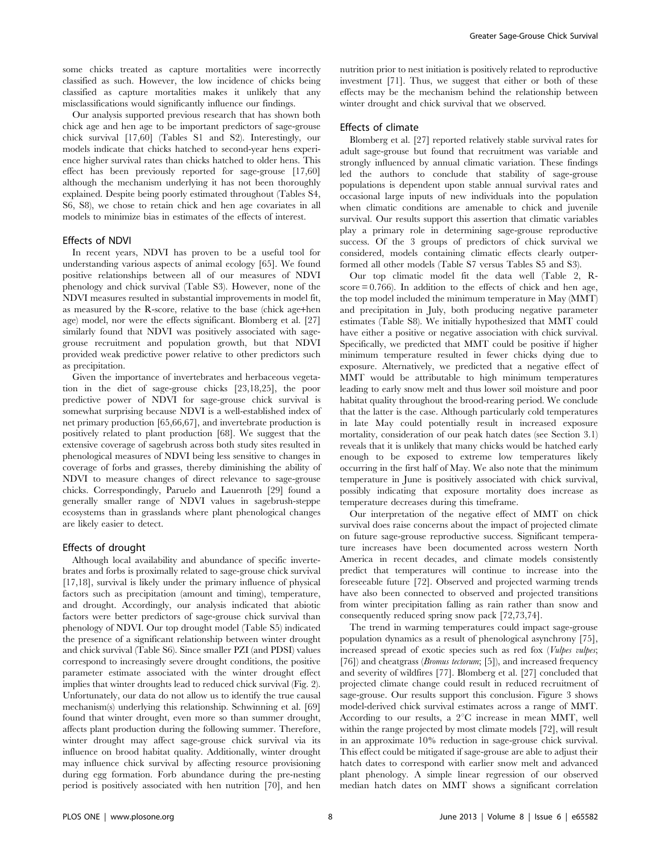some chicks treated as capture mortalities were incorrectly classified as such. However, the low incidence of chicks being classified as capture mortalities makes it unlikely that any misclassifications would significantly influence our findings.

Our analysis supported previous research that has shown both chick age and hen age to be important predictors of sage-grouse chick survival [17,60] (Tables S1 and S2). Interestingly, our models indicate that chicks hatched to second-year hens experience higher survival rates than chicks hatched to older hens. This effect has been previously reported for sage-grouse [17,60] although the mechanism underlying it has not been thoroughly explained. Despite being poorly estimated throughout (Tables S4, S6, S8), we chose to retain chick and hen age covariates in all models to minimize bias in estimates of the effects of interest.

## Effects of NDVI

In recent years, NDVI has proven to be a useful tool for understanding various aspects of animal ecology [65]. We found positive relationships between all of our measures of NDVI phenology and chick survival (Table S3). However, none of the NDVI measures resulted in substantial improvements in model fit, as measured by the R-score, relative to the base (chick age+hen age) model, nor were the effects significant. Blomberg et al. [27] similarly found that NDVI was positively associated with sagegrouse recruitment and population growth, but that NDVI provided weak predictive power relative to other predictors such as precipitation.

Given the importance of invertebrates and herbaceous vegetation in the diet of sage-grouse chicks [23,18,25], the poor predictive power of NDVI for sage-grouse chick survival is somewhat surprising because NDVI is a well-established index of net primary production [65,66,67], and invertebrate production is positively related to plant production [68]. We suggest that the extensive coverage of sagebrush across both study sites resulted in phenological measures of NDVI being less sensitive to changes in coverage of forbs and grasses, thereby diminishing the ability of NDVI to measure changes of direct relevance to sage-grouse chicks. Correspondingly, Paruelo and Lauenroth [29] found a generally smaller range of NDVI values in sagebrush-steppe ecosystems than in grasslands where plant phenological changes are likely easier to detect.

#### Effects of drought

Although local availability and abundance of specific invertebrates and forbs is proximally related to sage-grouse chick survival [17,18], survival is likely under the primary influence of physical factors such as precipitation (amount and timing), temperature, and drought. Accordingly, our analysis indicated that abiotic factors were better predictors of sage-grouse chick survival than phenology of NDVI. Our top drought model (Table S5) indicated the presence of a significant relationship between winter drought and chick survival (Table S6). Since smaller PZI (and PDSI) values correspond to increasingly severe drought conditions, the positive parameter estimate associated with the winter drought effect implies that winter droughts lead to reduced chick survival (Fig. 2). Unfortunately, our data do not allow us to identify the true causal mechanism(s) underlying this relationship. Schwinning et al. [69] found that winter drought, even more so than summer drought, affects plant production during the following summer. Therefore, winter drought may affect sage-grouse chick survival via its influence on brood habitat quality. Additionally, winter drought may influence chick survival by affecting resource provisioning during egg formation. Forb abundance during the pre-nesting period is positively associated with hen nutrition [70], and hen nutrition prior to nest initiation is positively related to reproductive investment [71]. Thus, we suggest that either or both of these effects may be the mechanism behind the relationship between winter drought and chick survival that we observed.

# Effects of climate

Blomberg et al. [27] reported relatively stable survival rates for adult sage-grouse but found that recruitment was variable and strongly influenced by annual climatic variation. These findings led the authors to conclude that stability of sage-grouse populations is dependent upon stable annual survival rates and occasional large inputs of new individuals into the population when climatic conditions are amenable to chick and juvenile survival. Our results support this assertion that climatic variables play a primary role in determining sage-grouse reproductive success. Of the 3 groups of predictors of chick survival we considered, models containing climatic effects clearly outperformed all other models (Table S7 versus Tables S5 and S3).

Our top climatic model fit the data well (Table 2, Rscore  $= 0.766$ ). In addition to the effects of chick and hen age, the top model included the minimum temperature in May (MMT) and precipitation in July, both producing negative parameter estimates (Table S8). We initially hypothesized that MMT could have either a positive or negative association with chick survival. Specifically, we predicted that MMT could be positive if higher minimum temperature resulted in fewer chicks dying due to exposure. Alternatively, we predicted that a negative effect of MMT would be attributable to high minimum temperatures leading to early snow melt and thus lower soil moisture and poor habitat quality throughout the brood-rearing period. We conclude that the latter is the case. Although particularly cold temperatures in late May could potentially result in increased exposure mortality, consideration of our peak hatch dates (see Section 3.1) reveals that it is unlikely that many chicks would be hatched early enough to be exposed to extreme low temperatures likely occurring in the first half of May. We also note that the minimum temperature in June is positively associated with chick survival, possibly indicating that exposure mortality does increase as temperature decreases during this timeframe.

Our interpretation of the negative effect of MMT on chick survival does raise concerns about the impact of projected climate on future sage-grouse reproductive success. Significant temperature increases have been documented across western North America in recent decades, and climate models consistently predict that temperatures will continue to increase into the foreseeable future [72]. Observed and projected warming trends have also been connected to observed and projected transitions from winter precipitation falling as rain rather than snow and consequently reduced spring snow pack [72,73,74].

The trend in warming temperatures could impact sage-grouse population dynamics as a result of phenological asynchrony [75], increased spread of exotic species such as red fox (Vulpes vulpes; [76]) and cheatgrass (*Bromus tectorum*; [5]), and increased frequency and severity of wildfires [77]. Blomberg et al. [27] concluded that projected climate change could result in reduced recruitment of sage-grouse. Our results support this conclusion. Figure 3 shows model-derived chick survival estimates across a range of MMT. According to our results, a  $2^{\circ}$ C increase in mean MMT, well within the range projected by most climate models [72], will result in an approximate 10% reduction in sage-grouse chick survival. This effect could be mitigated if sage-grouse are able to adjust their hatch dates to correspond with earlier snow melt and advanced plant phenology. A simple linear regression of our observed median hatch dates on MMT shows a significant correlation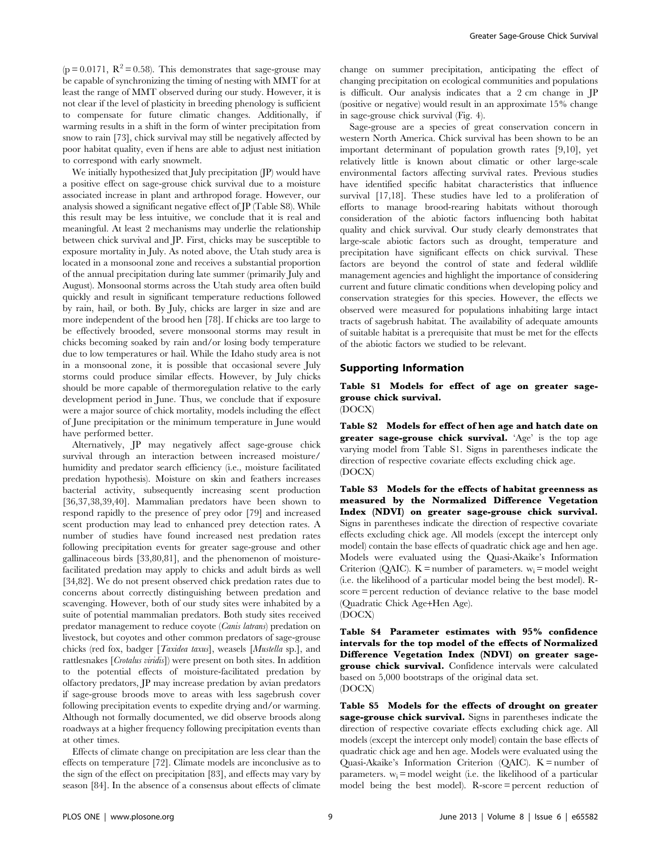(p = 0.0171,  $R^2$  = 0.58). This demonstrates that sage-grouse may be capable of synchronizing the timing of nesting with MMT for at least the range of MMT observed during our study. However, it is not clear if the level of plasticity in breeding phenology is sufficient to compensate for future climatic changes. Additionally, if warming results in a shift in the form of winter precipitation from snow to rain [73], chick survival may still be negatively affected by poor habitat quality, even if hens are able to adjust nest initiation to correspond with early snowmelt.

We initially hypothesized that July precipitation (JP) would have a positive effect on sage-grouse chick survival due to a moisture associated increase in plant and arthropod forage. However, our analysis showed a significant negative effect of JP (Table S8). While this result may be less intuitive, we conclude that it is real and meaningful. At least 2 mechanisms may underlie the relationship between chick survival and JP. First, chicks may be susceptible to exposure mortality in July. As noted above, the Utah study area is located in a monsoonal zone and receives a substantial proportion of the annual precipitation during late summer (primarily July and August). Monsoonal storms across the Utah study area often build quickly and result in significant temperature reductions followed by rain, hail, or both. By July, chicks are larger in size and are more independent of the brood hen [78]. If chicks are too large to be effectively brooded, severe monsoonal storms may result in chicks becoming soaked by rain and/or losing body temperature due to low temperatures or hail. While the Idaho study area is not in a monsoonal zone, it is possible that occasional severe July storms could produce similar effects. However, by July chicks should be more capable of thermoregulation relative to the early development period in June. Thus, we conclude that if exposure were a major source of chick mortality, models including the effect of June precipitation or the minimum temperature in June would have performed better.

Alternatively, JP may negatively affect sage-grouse chick survival through an interaction between increased moisture/ humidity and predator search efficiency (i.e., moisture facilitated predation hypothesis). Moisture on skin and feathers increases bacterial activity, subsequently increasing scent production [36,37,38,39,40]. Mammalian predators have been shown to respond rapidly to the presence of prey odor [79] and increased scent production may lead to enhanced prey detection rates. A number of studies have found increased nest predation rates following precipitation events for greater sage-grouse and other gallinaceous birds [33,80,81], and the phenomenon of moisturefacilitated predation may apply to chicks and adult birds as well [34,82]. We do not present observed chick predation rates due to concerns about correctly distinguishing between predation and scavenging. However, both of our study sites were inhabited by a suite of potential mammalian predators. Both study sites received predator management to reduce coyote (Canis latrans) predation on livestock, but coyotes and other common predators of sage-grouse chicks (red fox, badger [Taxidea taxus], weasels [Mustella sp.], and rattlesnakes [Crotalus viridis]) were present on both sites. In addition to the potential effects of moisture-facilitated predation by olfactory predators, JP may increase predation by avian predators if sage-grouse broods move to areas with less sagebrush cover following precipitation events to expedite drying and/or warming. Although not formally documented, we did observe broods along roadways at a higher frequency following precipitation events than at other times.

Effects of climate change on precipitation are less clear than the effects on temperature [72]. Climate models are inconclusive as to the sign of the effect on precipitation [83], and effects may vary by season [84]. In the absence of a consensus about effects of climate

change on summer precipitation, anticipating the effect of changing precipitation on ecological communities and populations is difficult. Our analysis indicates that a 2 cm change in JP (positive or negative) would result in an approximate 15% change in sage-grouse chick survival (Fig. 4).

Sage-grouse are a species of great conservation concern in western North America. Chick survival has been shown to be an important determinant of population growth rates [9,10], yet relatively little is known about climatic or other large-scale environmental factors affecting survival rates. Previous studies have identified specific habitat characteristics that influence survival [17,18]. These studies have led to a proliferation of efforts to manage brood-rearing habitats without thorough consideration of the abiotic factors influencing both habitat quality and chick survival. Our study clearly demonstrates that large-scale abiotic factors such as drought, temperature and precipitation have significant effects on chick survival. These factors are beyond the control of state and federal wildlife management agencies and highlight the importance of considering current and future climatic conditions when developing policy and conservation strategies for this species. However, the effects we observed were measured for populations inhabiting large intact tracts of sagebrush habitat. The availability of adequate amounts of suitable habitat is a prerequisite that must be met for the effects of the abiotic factors we studied to be relevant.

### Supporting Information

Table S1 Models for effect of age on greater sagegrouse chick survival. (DOCX)

Table S2 Models for effect of hen age and hatch date on greater sage-grouse chick survival. 'Age' is the top age varying model from Table S1. Signs in parentheses indicate the direction of respective covariate effects excluding chick age. (DOCX)

Table S3 Models for the effects of habitat greenness as measured by the Normalized Difference Vegetation Index (NDVI) on greater sage-grouse chick survival. Signs in parentheses indicate the direction of respective covariate effects excluding chick age. All models (except the intercept only model) contain the base effects of quadratic chick age and hen age. Models were evaluated using the Quasi-Akaike's Information Criterion (QAIC).  $K =$  number of parameters.  $w_i =$  model weight (i.e. the likelihood of a particular model being the best model). Rscore = percent reduction of deviance relative to the base model (Quadratic Chick Age+Hen Age). (DOCX)

Table S4 Parameter estimates with 95% confidence intervals for the top model of the effects of Normalized Difference Vegetation Index (NDVI) on greater sagegrouse chick survival. Confidence intervals were calculated based on 5,000 bootstraps of the original data set. (DOCX)

Table S5 Models for the effects of drought on greater sage-grouse chick survival. Signs in parentheses indicate the direction of respective covariate effects excluding chick age. All models (except the intercept only model) contain the base effects of quadratic chick age and hen age. Models were evaluated using the Quasi-Akaike's Information Criterion (QAIC). K = number of parameters.  $w_i$ = model weight (i.e. the likelihood of a particular model being the best model). R-score = percent reduction of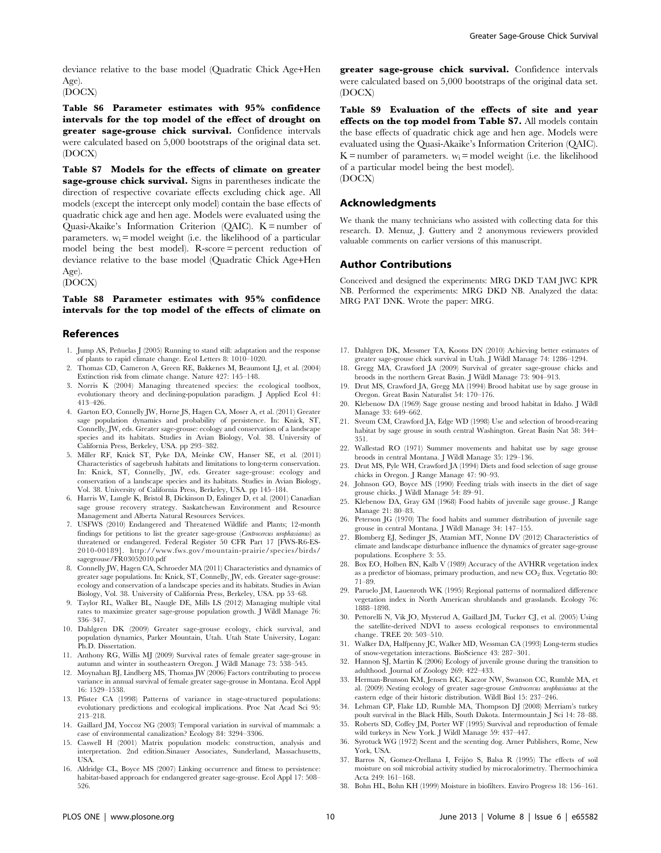deviance relative to the base model (Quadratic Chick Age+Hen Age).

(DOCX)

Table S6 Parameter estimates with 95% confidence intervals for the top model of the effect of drought on greater sage-grouse chick survival. Confidence intervals were calculated based on 5,000 bootstraps of the original data set. (DOCX)

Table S7 Models for the effects of climate on greater sage-grouse chick survival. Signs in parentheses indicate the direction of respective covariate effects excluding chick age. All models (except the intercept only model) contain the base effects of quadratic chick age and hen age. Models were evaluated using the Quasi-Akaike's Information Criterion (QAIC). K = number of parameters.  $w_i$ = model weight (i.e. the likelihood of a particular model being the best model). R-score = percent reduction of deviance relative to the base model (Quadratic Chick Age+Hen Age).

(DOCX)

Table S8 Parameter estimates with 95% confidence intervals for the top model of the effects of climate on

#### References

- 1. Jump AS, Peñuelas J (2005) Running to stand still: adaptation and the response of plants to rapid climate change. Ecol Letters 8: 1010–1020.
- 2. Thomas CD, Cameron A, Green RE, Bakkenes M, Beaumont LJ, et al. (2004) Extinction risk from climate change. Nature 427: 145–148.
- 3. Norris K (2004) Managing threatened species: the ecological toolbox, evolutionary theory and declining-population paradigm. J Applied Ecol 41: 413–426.
- 4. Garton EO, Connelly JW, Horne JS, Hagen CA, Moser A, et al. (2011) Greater sage population dynamics and probability of persistence. In: Knick, ST, Connelly, JW, eds. Greater sage-grouse: ecology and conservation of a landscape species and its habitats. Studies in Avian Biology, Vol. 38. University of California Press, Berkeley, USA. pp 293–382.
- 5. Miller RF, Knick ST, Pyke DA, Meinke CW, Hanser SE, et al. (2011) Characteristics of sagebrush habitats and limitations to long-term conservation. In: Knick, ST, Connelly, JW, eds. Greater sage-grouse: ecology and conservation of a landscape species and its habitats. Studies in Avian Biology, Vol. 38. University of California Press, Berkeley, USA. pp 145–184.
- 6. Harris W, Lungle K, Bristol B, Dickinson D, Eslinger D, et al. (2001) Canadian sage grouse recovery strategy. Saskatchewan Environment and Resource Management and Alberta Natural Resources Services.
- 7. USFWS (2010) Endangered and Threatened Wildlife and Plants; 12-month findings for petitions to list the greater sage-grouse (Centrocercus urophasianus) as threatened or endangered. Federal Register 50 CFR Part 17 [FWS-R6-ES-2010-00189]. http://www.fws.gov/mountain-prairie/species/birds/ sagegrouse/FR03052010.pdf
- 8. Connelly JW, Hagen CA, Schroeder MA (2011) Characteristics and dynamics of greater sage populations. In: Knick, ST, Connelly, JW, eds. Greater sage-grouse: ecology and conservation of a landscape species and its habitats. Studies in Avian Biology, Vol. 38. University of California Press, Berkeley, USA. pp 53–68.
- 9. Taylor RL, Walker BL, Naugle DE, Mills LS (2012) Managing multiple vital rates to maximize greater sage-grouse population growth. J Wildl Manage 76: 336–347.
- 10. Dahlgren DK (2009) Greater sage-grouse ecology, chick survival, and population dynamics, Parker Mountain, Utah. Utah State University, Logan: Ph.D. Dissertation.
- 11. Anthony RG, Willis MJ (2009) Survival rates of female greater sage-grouse in autumn and winter in southeastern Oregon. J Wildl Manage 73: 538–545.
- 12. Moynahan BJ, Lindberg MS, Thomas JW (2006) Factors contributing to process variance in annual survival of female greater sage-grouse in Montana. Ecol Appl 16: 1529–1538.
- 13. Pfister CA (1998) Patterns of variance in stage-structured populations: evolutionary predictions and ecological implications. Proc Nat Acad Sci 95: 213–218.
- 14. Gaillard JM, Yoccoz NG (2003) Temporal variation in survival of mammals: a case of environmental canalization? Ecology 84: 3294–3306.
- 15. Caswell H (2001) Matrix population models: construction, analysis and interpretation. 2nd edition.Sinauer Associates, Sunderland, Massachusetts, USA.
- 16. Aldridge CL, Boyce MS (2007) Linking occurrence and fitness to persistence: habitat-based approach for endangered greater sage-grouse. Ecol Appl 17: 508– 526.

greater sage-grouse chick survival. Confidence intervals were calculated based on 5,000 bootstraps of the original data set. (DOCX)

Table S9 Evaluation of the effects of site and year effects on the top model from Table S7. All models contain the base effects of quadratic chick age and hen age. Models were evaluated using the Quasi-Akaike's Information Criterion (QAIC).  $K =$  number of parameters.  $w_i =$  model weight (i.e. the likelihood of a particular model being the best model). (DOCX)

# Acknowledgments

We thank the many technicians who assisted with collecting data for this research. D. Menuz, J. Guttery and 2 anonymous reviewers provided valuable comments on earlier versions of this manuscript.

# Author Contributions

Conceived and designed the experiments: MRG DKD TAM JWC KPR NB. Performed the experiments: MRG DKD NB. Analyzed the data: MRG PAT DNK. Wrote the paper: MRG.

- 17. Dahlgren DK, Messmer TA, Koons DN (2010) Achieving better estimates of greater sage-grouse chick survival in Utah. J Wildl Manage 74: 1286–1294.
- 18. Gregg MA, Crawford JA (2009) Survival of greater sage-grouse chicks and broods in the northern Great Basin. J Wildl Manage 73: 904–913.
- 19. Drut MS, Crawford JA, Gregg MA (1994) Brood habitat use by sage grouse in Oregon. Great Basin Naturalist 54: 170–176.
- 20. Klebenow DA (1969) Sage grouse nesting and brood habitat in Idaho. J Wildl Manage 33: 649–662.
- 21. Sveum CM, Crawford JA, Edge WD (1998) Use and selection of brood-rearing habitat by sage grouse in south central Washington. Great Basin Nat 58: 344– 351.
- 22. Wallestad RO (1971) Summer movements and habitat use by sage grouse broods in central Montana. J Wildl Manage 35: 129–136.
- 23. Drut MS, Pyle WH, Crawford JA (1994) Diets and food selection of sage grouse chicks in Oregon. J Range Manage 47: 90–93.
- 24. Johnson GO, Boyce MS (1990) Feeding trials with insects in the diet of sage grouse chicks. J Wildl Manage 54: 89–91.
- 25. Klebenow DA, Gray GM (1968) Food habits of juvenile sage grouse. J Range Manage 21: 80–83.
- 26. Peterson JG (1970) The food habits and summer distribution of juvenile sage grouse in central Montana. J Wildl Manage 34: 147–155.
- 27. Blomberg EJ, Sedinger JS, Atamian MT, Nonne DV (2012) Characteristics of climate and landscape disturbance influence the dynamics of greater sage-grouse populations. Ecosphere 3: 55.
- 28. Box EO, Holben BN, Kalb V (1989) Accuracy of the AVHRR vegetation index as a predictor of biomass, primary production, and new  $CO<sub>2</sub>$  flux. Vegetatio 80: 71–89.
- 29. Paruelo JM, Lauenroth WK (1995) Regional patterns of normalized difference vegetation index in North American shrublands and grasslands. Ecology 76: 1888–1898.
- 30. Pettorelli N, Vik JO, Mysterud A, Gaillard JM, Tucker CJ, et al. (2005) Using the satellite-derived NDVI to assess ecological responses to environmental change. TREE 20: 503–510.
- 31. Walker DA, Halfpenny JC, Walker MD, Wessman CA (1993) Long-term studies of snow-vegetation interactions. BioScience 43: 287–301.
- 32. Hannon SJ, Martin K (2006) Ecology of juvenile grouse during the transition to adulthood. Journal of Zoology 269: 422–433.
- 33. Herman-Brunson KM, Jensen KC, Kaczor NW, Swanson CC, Rumble MA, et al. (2009) Nesting ecology of greater sage-grouse Centrocercus urophasianus at the eastern edge of their historic distribution. Wildl Biol 15: 237–246.
- 34. Lehman CP, Flake LD, Rumble MA, Thompson DJ (2008) Merriam's turkey poult survival in the Black Hills, South Dakota. Intermountain J Sci 14: 78–88.
- 35. Roberts SD, Coffey JM, Porter WF (1995) Survival and reproduction of female wild turkeys in New York. J Wildl Manage 59: 437–447.
- 36. Syrotuck WG (1972) Scent and the scenting dog. Arner Publishers, Rome, New York, USA.
- 37. Barros N, Gomez-Orellana I, Feijóo S, Balsa R (1995) The effects of soil moisture on soil microbial activity studied by microcalorimetry. Thermochimica Acta 249: 161–168.
- 38. Bohn HL, Bohn KH (1999) Moisture in biofilters. Enviro Progress 18: 156–161.